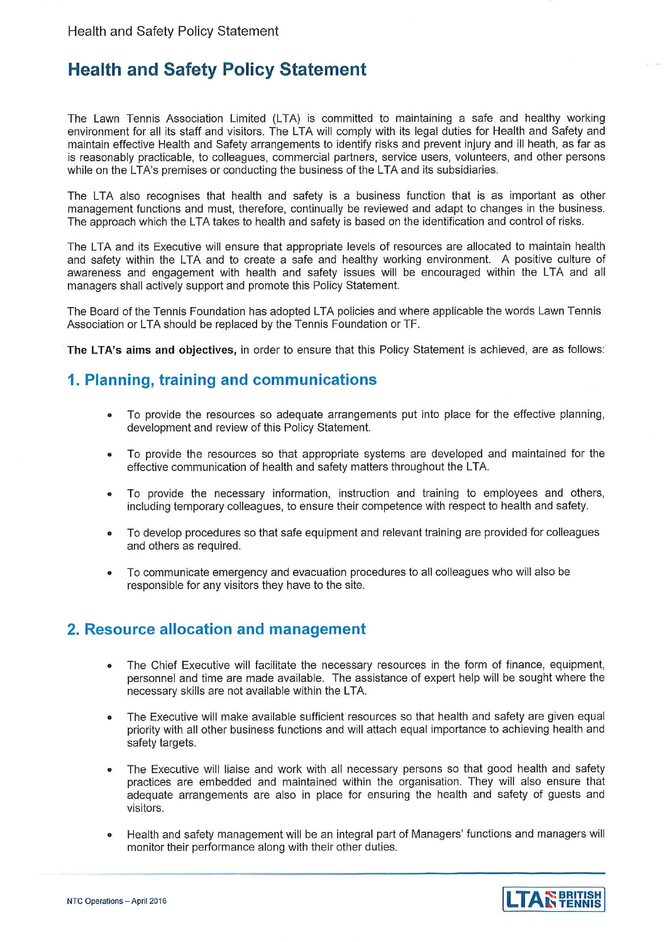# **Health and Safety Policy Statement**

The Lawn Tennis Association Limited (LTA) is committed to maintaining a safe and healthy working environment for all its staff and visitors. The LTA will comply with its legal duties for Health and Safety and maintain effective Health and Safety arrangements to identify risks and prevent injury and ill heath, as far as is reasonably practicable, to colleagues, commercial partners, service users, volunteers, and other persons while on the LTA's premises or conducting the business of the LTA and its subsidiaries.

The LTA also recognises that health and safety is a business function that is as important as other management functions and must, therefore, continually be reviewed and adapt to changes in the business. The approach which the LTA takes to health and safety is based on the identification and control of risks.

The LTA and its Executive will ensure that appropriate levels of resources are allocated to maintain health and safety within the LTA and to create a safe and healthy working environment. A positive culture of awareness and engagement with health and safety issues will be encouraged within the LTA and all managers shall actively support and promote this Policy Statement.

The Board of the Tennis Foundation has adopted LTA policies and where applicable the words Lawn Tennis Association or LTA should be replaced by the Tennis Foundation or TF.

The LTA's aims and objectives, in order to ensure that this Policy Statement is achieved, are as follows:

## 1. Planning, training and communications

- To provide the resources so adequate arrangements put into place for the effective planning,  $\bullet$ development and review of this Policy Statement.
- To provide the resources so that appropriate systems are developed and maintained for the effective communication of health and safety matters throughout the LTA.
- To provide the necessary information, instruction and training to employees and others, including temporary colleagues, to ensure their competence with respect to health and safety.
- To develop procedures so that safe equipment and relevant training are provided for colleagues and others as required.
- To communicate emergency and evacuation procedures to all colleagues who will also be  $\bullet$ responsible for any visitors they have to the site.

### 2. Resource allocation and management

- The Chief Executive will facilitate the necessary resources in the form of finance, equipment, personnel and time are made available. The assistance of expert help will be sought where the necessary skills are not available within the LTA.
- The Executive will make available sufficient resources so that health and safety are given equal priority with all other business functions and will attach equal importance to achieving health and safety targets.
- The Executive will liaise and work with all necessary persons so that good health and safety practices are embedded and maintained within the organisation. They will also ensure that adequate arrangements are also in place for ensuring the health and safety of guests and visitors.
- Health and safety management will be an integral part of Managers' functions and managers will monitor their performance along with their other duties.



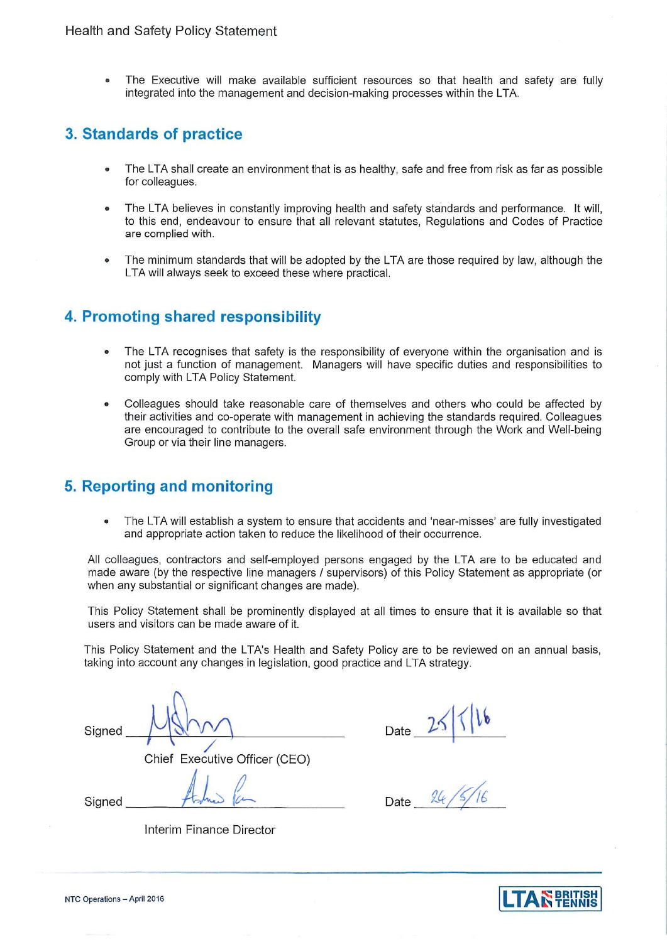The Executive will make available sufficient resources so that health and safety are fully integrated into the management and decision-making processes within the LTA.

# 3. Standards of practice

- The LTA shall create an environment that is as healthy, safe and free from risk as far as possible for colleagues.
- The LTA believes in constantly improving health and safety standards and performance. It will,  $\bullet$ to this end, endeavour to ensure that all relevant statutes, Regulations and Codes of Practice are complied with.
- The minimum standards that will be adopted by the LTA are those required by law, although the LTA will always seek to exceed these where practical.

## 4. Promoting shared responsibility

- The LTA recognises that safety is the responsibility of everyone within the organisation and is not just a function of management. Managers will have specific duties and responsibilities to comply with LTA Policy Statement.
- Colleagues should take reasonable care of themselves and others who could be affected by their activities and co-operate with management in achieving the standards reguired. Colleagues are encouraged to contribute to the overall safe environment through the Work and Well-being Group or via their line managers.

# 5. Reporting and monitoring

The LTA will establish a system to ensure that accidents and 'near-misses' are fully investigated and appropriate action taken to reduce the likelihood of their occurrence.

All colleagues, contractors and self-employed persons engaged by the LTA are to be educated and made aware (by the respective line managers / supervisors) of this Policy Statement as appropriate (or when any substantial or significant changes are made).

This Policy Statement shall be prominently displayed at all times to ensure that it is available so that users and visitors can be made aware of it.

This Policy Statement and the LTA's Health and Safety Policy are to be reviewed on an annual basis, taking into account any changes in legislation, good practice and LTA strategy.

Sianed

Chief Executive Officer (CEO)

Date

Signed

Date

Interim Finance Director

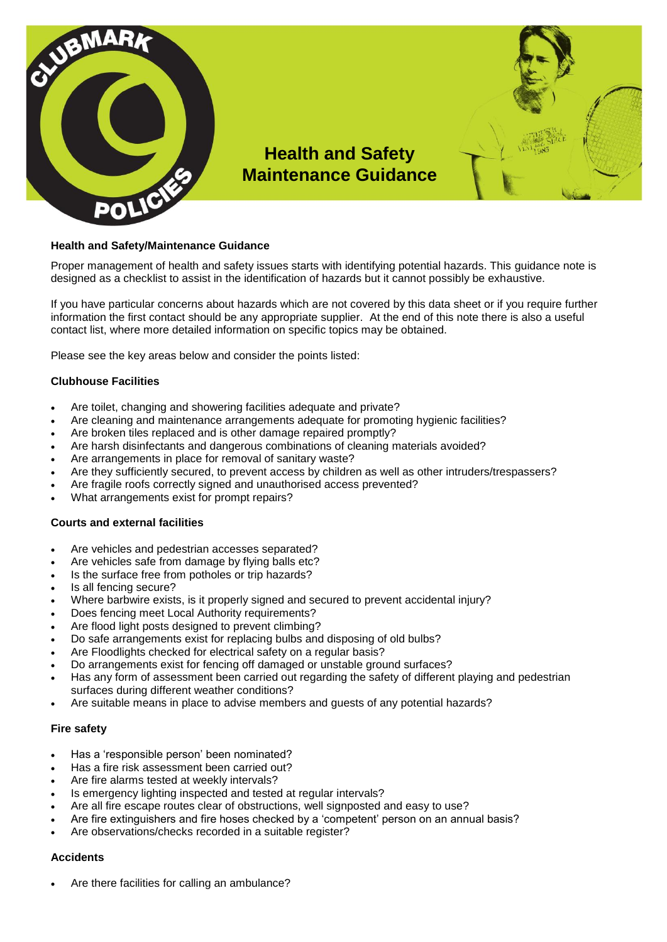

#### **Health and Safety/Maintenance Guidance**

Proper management of health and safety issues starts with identifying potential hazards. This guidance note is designed as a checklist to assist in the identification of hazards but it cannot possibly be exhaustive.

If you have particular concerns about hazards which are not covered by this data sheet or if you require further information the first contact should be any appropriate supplier. At the end of this note there is also a useful contact list, where more detailed information on specific topics may be obtained.

Please see the key areas below and consider the points listed:

#### **Clubhouse Facilities**

- Are toilet, changing and showering facilities adequate and private?
- Are cleaning and maintenance arrangements adequate for promoting hygienic facilities?
- Are broken tiles replaced and is other damage repaired promptly?
- Are harsh disinfectants and dangerous combinations of cleaning materials avoided?
- Are arrangements in place for removal of sanitary waste?
- Are they sufficiently secured, to prevent access by children as well as other intruders/trespassers?
- Are fragile roofs correctly signed and unauthorised access prevented?
- What arrangements exist for prompt repairs?

#### **Courts and external facilities**

- Are vehicles and pedestrian accesses separated?
- Are vehicles safe from damage by flying balls etc?
- Is the surface free from potholes or trip hazards?
- Is all fencing secure?
- Where barbwire exists, is it properly signed and secured to prevent accidental injury?
- Does fencing meet Local Authority requirements?
- Are flood light posts designed to prevent climbing?
- Do safe arrangements exist for replacing bulbs and disposing of old bulbs?
- Are Floodlights checked for electrical safety on a regular basis?
- Do arrangements exist for fencing off damaged or unstable ground surfaces?
- Has any form of assessment been carried out regarding the safety of different playing and pedestrian surfaces during different weather conditions?
- Are suitable means in place to advise members and guests of any potential hazards?

#### **Fire safety**

- Has a 'responsible person' been nominated?
- Has a fire risk assessment been carried out?
- Are fire alarms tested at weekly intervals?
- Is emergency lighting inspected and tested at regular intervals?
- Are all fire escape routes clear of obstructions, well signposted and easy to use?
- Are fire extinguishers and fire hoses checked by a 'competent' person on an annual basis?
- Are observations/checks recorded in a suitable register?

#### **Accidents**

Are there facilities for calling an ambulance?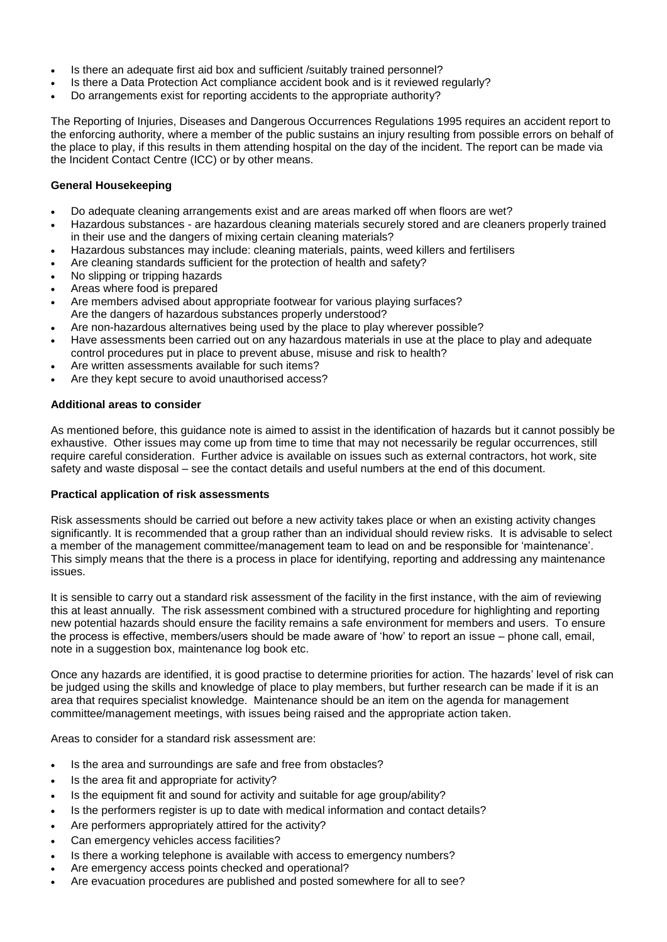- Is there an adequate first aid box and sufficient /suitably trained personnel?
- Is there a Data Protection Act compliance accident book and is it reviewed regularly?
- Do arrangements exist for reporting accidents to the appropriate authority?

The Reporting of Injuries, Diseases and Dangerous Occurrences Regulations 1995 requires an accident report to the enforcing authority, where a member of the public sustains an injury resulting from possible errors on behalf of the place to play, if this results in them attending hospital on the day of the incident. The report can be made via the Incident Contact Centre (ICC) or by other means.

#### **General Housekeeping**

- Do adequate cleaning arrangements exist and are areas marked off when floors are wet?
- Hazardous substances are hazardous cleaning materials securely stored and are cleaners properly trained in their use and the dangers of mixing certain cleaning materials?
- Hazardous substances may include: cleaning materials, paints, weed killers and fertilisers
- Are cleaning standards sufficient for the protection of health and safety?
- No slipping or tripping hazards
- Areas where food is prepared
- Are members advised about appropriate footwear for various playing surfaces? Are the dangers of hazardous substances properly understood?
- Are non-hazardous alternatives being used by the place to play wherever possible?
- Have assessments been carried out on any hazardous materials in use at the place to play and adequate control procedures put in place to prevent abuse, misuse and risk to health?
- Are written assessments available for such items?
- Are they kept secure to avoid unauthorised access?

#### **Additional areas to consider**

As mentioned before, this guidance note is aimed to assist in the identification of hazards but it cannot possibly be exhaustive. Other issues may come up from time to time that may not necessarily be regular occurrences, still require careful consideration. Further advice is available on issues such as external contractors, hot work, site safety and waste disposal – see the contact details and useful numbers at the end of this document.

#### **Practical application of risk assessments**

Risk assessments should be carried out before a new activity takes place or when an existing activity changes significantly. It is recommended that a group rather than an individual should review risks. It is advisable to select a member of the management committee/management team to lead on and be responsible for 'maintenance'. This simply means that the there is a process in place for identifying, reporting and addressing any maintenance issues.

It is sensible to carry out a standard risk assessment of the facility in the first instance, with the aim of reviewing this at least annually. The risk assessment combined with a structured procedure for highlighting and reporting new potential hazards should ensure the facility remains a safe environment for members and users. To ensure the process is effective, members/users should be made aware of 'how' to report an issue – phone call, email, note in a suggestion box, maintenance log book etc.

Once any hazards are identified, it is good practise to determine priorities for action. The hazards' level of risk can be judged using the skills and knowledge of place to play members, but further research can be made if it is an area that requires specialist knowledge. Maintenance should be an item on the agenda for management committee/management meetings, with issues being raised and the appropriate action taken.

Areas to consider for a standard risk assessment are:

- Is the area and surroundings are safe and free from obstacles?
- Is the area fit and appropriate for activity?
- Is the equipment fit and sound for activity and suitable for age group/ability?
- Is the performers register is up to date with medical information and contact details?
- Are performers appropriately attired for the activity?
- Can emergency vehicles access facilities?
- Is there a working telephone is available with access to emergency numbers?
- Are emergency access points checked and operational?
- Are evacuation procedures are published and posted somewhere for all to see?